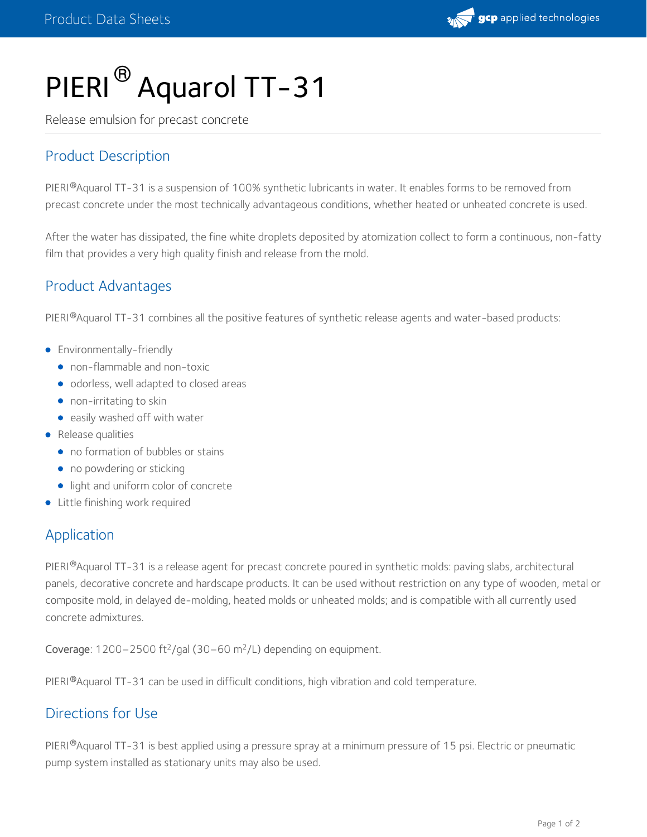# PIERI<sup>®</sup> Aquarol TT-31

Release emulsion for precast concrete

## Product Description

PIERI®Aquarol TT-31 is a suspension of 100% synthetic lubricants in water. It enables forms to be removed from precast concrete under the most technically advantageous conditions, whether heated or unheated concrete is used.

After the water has dissipated, the fine white droplets deposited by atomization collect to form a continuous, non-fatty film that provides a very high quality finish and release from the mold.

### Product Advantages

PIERI®Aquarol TT-31 combines all the positive features of synthetic release agents and water-based products:

- **•** Environmentally-friendly
	- non-flammable and non-toxic
	- odorless, well adapted to closed areas
	- non-irritating to skin
	- easily washed off with water
- Release qualities
	- no formation of bubbles or stains
	- no powdering or sticking
	- light and uniform color of concrete
- Little finishing work required

#### Application

PIERI®Aquarol TT-31 is a release agent for precast concrete poured in synthetic molds: paving slabs, architectural panels, decorative concrete and hardscape products. It can be used without restriction on any type of wooden, metal or composite mold, in delayed de-molding, heated molds or unheated molds; and is compatible with all currently used concrete admixtures.

Coverage:  $1200 - 2500$  ft<sup>2</sup>/gal (30-60 m<sup>2</sup>/L) depending on equipment.

PIERI <sup>®</sup>Aquarol TT-31 can be used in difficult conditions, high vibration and cold temperature.

### Directions for Use

PIERI®Aquarol TT-31 is best applied using a pressure spray at a minimum pressure of 15 psi. Electric or pneumatic pump system installed as stationary units may also be used.